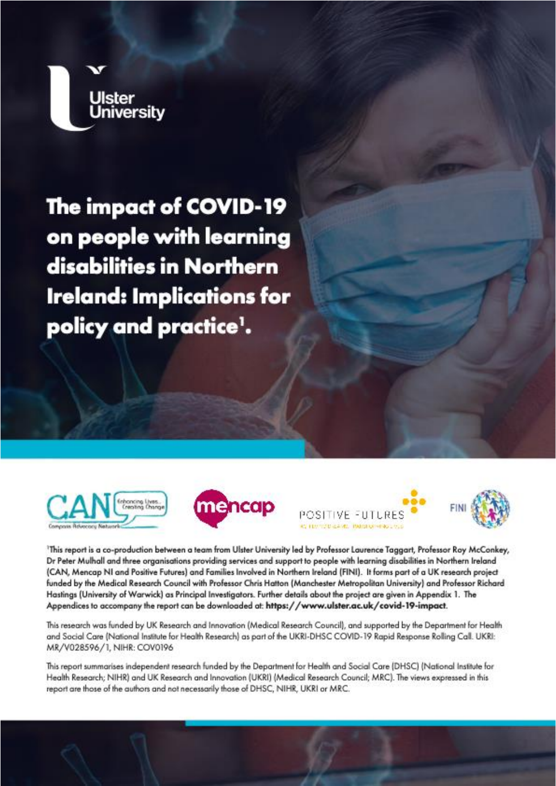

# The impact of COVID-19 on people with learning disabilities in Northern **Ireland: Implications for** policy and practice<sup>1</sup>.









This report is a co-production between a team from Ulster University led by Professor Laurence Taggart, Professor Roy McConkey, Dr Peter Mulhall and three organisations providing services and support to people with learning disabilities in Northern Ireland (CAN, Mencap NI and Positive Futures) and Families Involved in Northern Ireland (FINI). It forms part of a UK research project funded by the Medical Research Council with Professor Chris Hatton (Manchester Metropolitan University) and Professor Richard Hastings (University of Warwick) as Principal Investigators. Further details about the project are given in Appendix 1. The Appendices to accompany the report can be downloaded at: https://www.ulster.ac.uk/covid-19-impact.

This research was funded by UK Research and Innovation (Medical Research Council), and supported by the Department for Health and Social Care (National Institute for Health Research) as part of the UKRI-DHSC COVID-19 Rapid Response Rolling Call. UKRI: MR/V028596/1, NIHR: COV0196

This report summarises independent research funded by the Department for Health and Social Care (DHSC) (National Institute for Health Research; NIHR) and UK Research and Innovation (UKRI) (Medical Research Council; MRC). The views expressed in this report are those of the authors and not necessarily those of DHSC, NIHR, UKRI or MRC.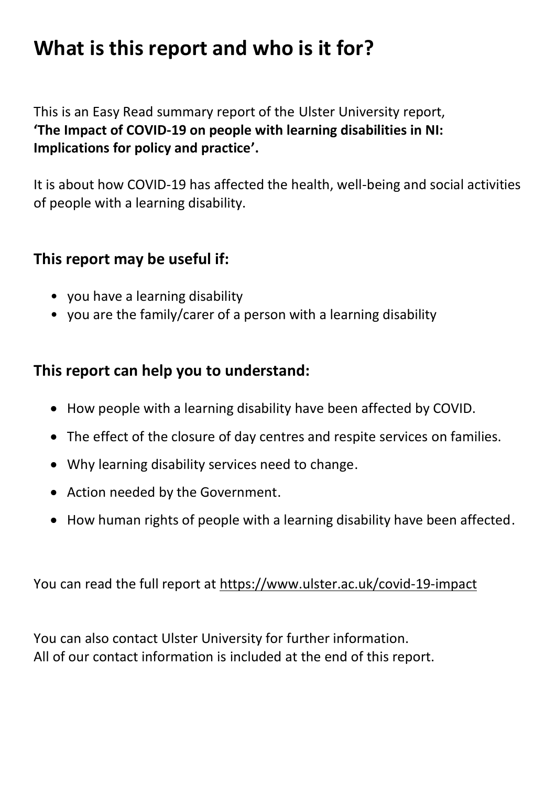# **What is this report and who is it for?**

 This is an Easy Read summary report of the Ulster University report,  **'The Impact of COVID-19 on people with learning disabilities in NI: Implications for policy and practice'.** 

 It is about how COVID-19 has affected the health, well-being and social activities of people with a learning disability.

## **This report may be useful if:**

- you have a learning disability
- you are the family/carer of a person with a learning disability

### **This report can help you to understand:**

- How people with a learning disability have been affected by COVID.
- The effect of the closure of day centres and respite services on families.
- Why learning disability services need to change.
- Action needed by the Government.
- How human rights of people with a learning disability have been affected.

You can read the full report at https://www.ulster.ac.uk/covid-19-impact

 You can also contact Ulster University for further information. All of our contact information is included at the end of this report.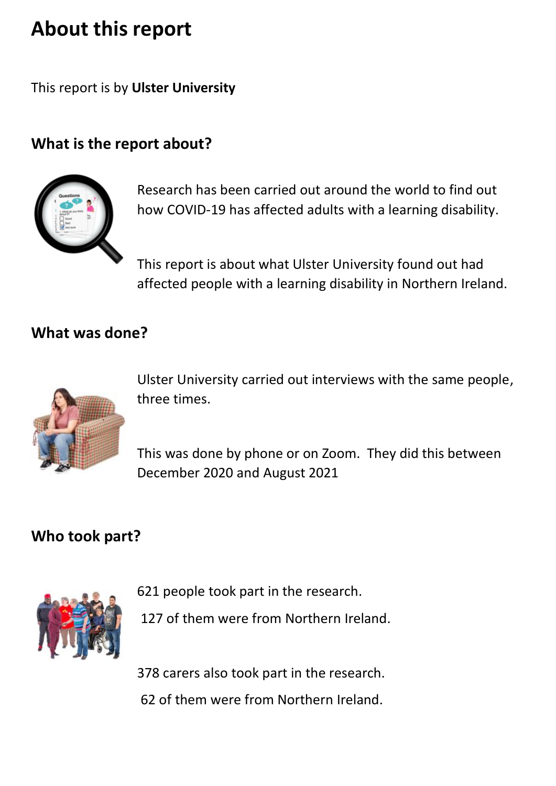# **About this report**

This report is by **Ulster University** 

## **What is the report about?**



 Research has been carried out around the world to find out how COVID-19 has affected adults with a learning disability.

 This report is about what Ulster University found out had affected people with a learning disability in Northern Ireland.

### **What was done?**



 Ulster University carried out interviews with the same people, three times.

 This was done by phone or on Zoom. They did this between December 2020 and August 2021

### **Who took part?**



621 people took part in the research.

127 of them were from Northern Ireland.

378 carers also took part in the research.

62 of them were from Northern Ireland.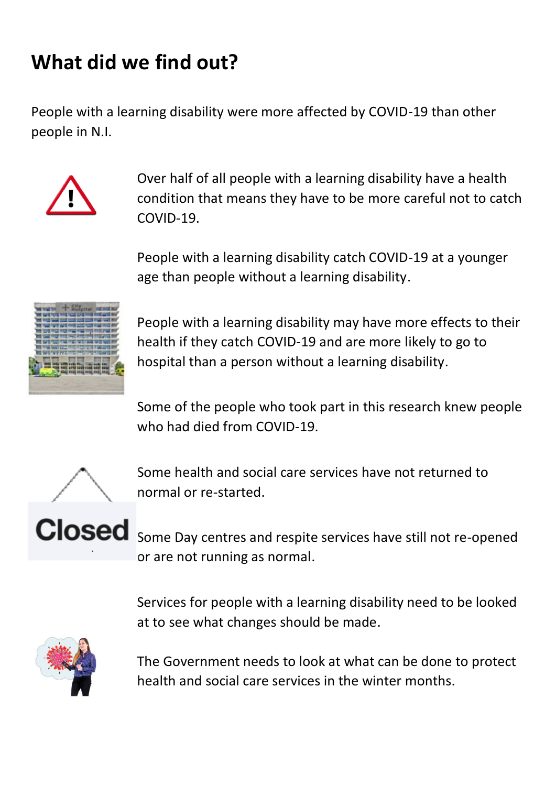# **What did we find out?**

 People with a learning disability were more affected by COVID-19 than other people in N.I.



 Over half of all people with a learning disability have a health condition that means they have to be more careful not to catch COVID-19.

 People with a learning disability catch COVID-19 at a younger age than people without a learning disability.



 People with a learning disability may have more effects to their health if they catch COVID-19 and are more likely to go to hospital than a person without a learning disability.

 Some of the people who took part in this research knew people who had died from COVID-19.



 Some health and social care services have not returned to normal or re-started.

 Some Day centres and respite services have still not re-opened or are not running as normal.

 Services for people with a learning disability need to be looked at to see what changes should be made.



 The Government needs to look at what can be done to protect health and social care services in the winter months.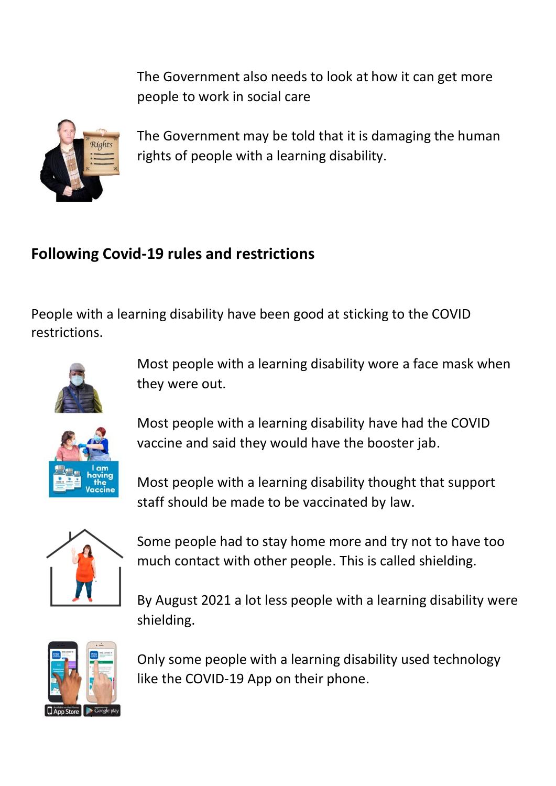The Government also needs to look at how it can get more people to work in social care



 The Government may be told that it is damaging the human rights of people with a learning disability.

## **Following Covid-19 rules and restrictions**

 People with a learning disability have been good at sticking to the COVID restrictions.



 Most people with a learning disability wore a face mask when they were out.



 Most people with a learning disability have had the COVID vaccine and said they would have the booster jab.

 Most people with a learning disability thought that support staff should be made to be vaccinated by law.



 Some people had to stay home more and try not to have too much contact with other people. This is called shielding.

 By August 2021 a lot less people with a learning disability were shielding.



 Only some people with a learning disability used technology like the COVID-19 App on their phone.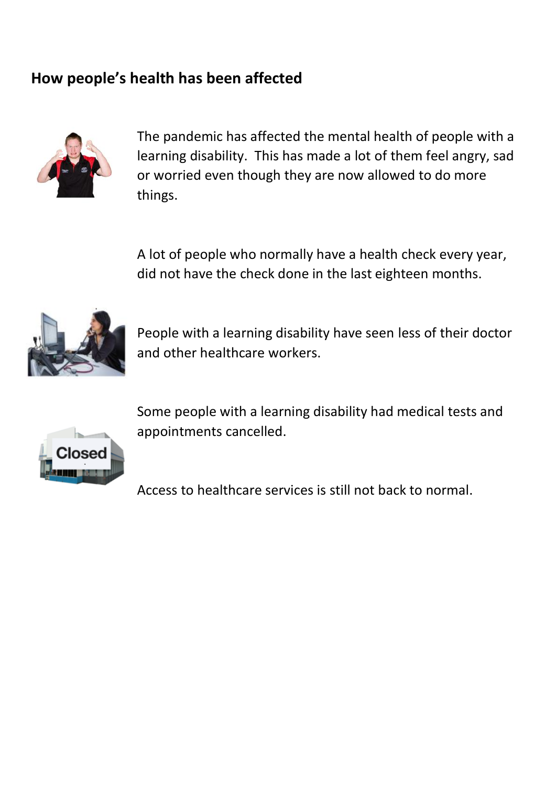## **How people's health has been affected**



 The pandemic has affected the mental health of people with a learning disability. This has made a lot of them feel angry, sad or worried even though they are now allowed to do more things.

 A lot of people who normally have a health check every year, did not have the check done in the last eighteen months.



 People with a learning disability have seen less of their doctor and other healthcare workers.



 Some people with a learning disability had medical tests and appointments cancelled.

Access to healthcare services is still not back to normal.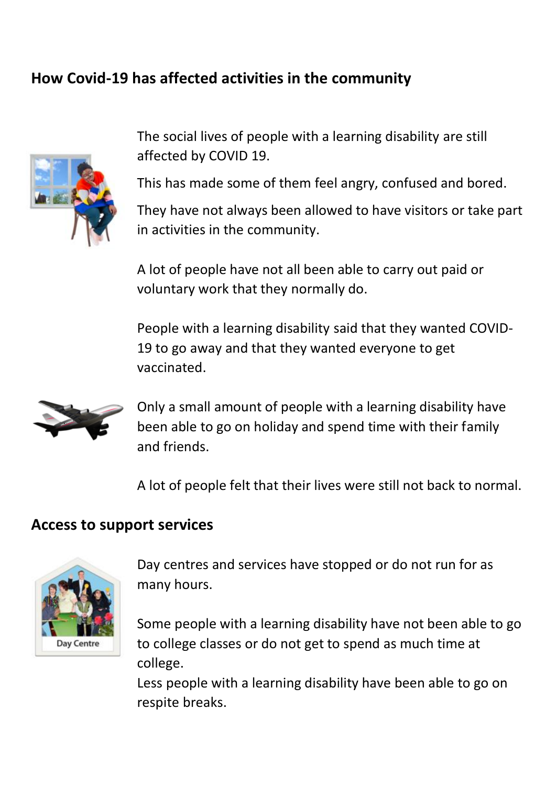## **How Covid-19 has affected activities in the community**



 The social lives of people with a learning disability are still affected by COVID 19.

This has made some of them feel angry, confused and bored.

 They have not always been allowed to have visitors or take part in activities in the community.

 A lot of people have not all been able to carry out paid or voluntary work that they normally do.

 People with a learning disability said that they wanted COVID- 19 to go away and that they wanted everyone to get vaccinated.



 Only a small amount of people with a learning disability have been able to go on holiday and spend time with their family and friends.

A lot of people felt that their lives were still not back to normal.

### **Access to support services**



 Day centres and services have stopped or do not run for as many hours.

 Some people with a learning disability have not been able to go to college classes or do not get to spend as much time at college.

 Less people with a learning disability have been able to go on respite breaks.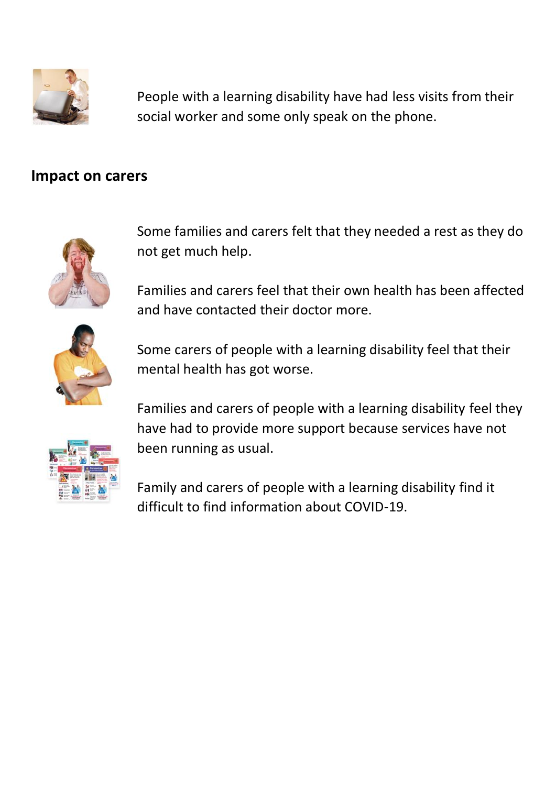

 People with a learning disability have had less visits from their social worker and some only speak on the phone.

### **Impact on carers**



 Some families and carers felt that they needed a rest as they do not get much help.

 Families and carers feel that their own health has been affected and have contacted their doctor more.



 Some carers of people with a learning disability feel that their mental health has got worse.



 Families and carers of people with a learning disability feel they have had to provide more support because services have not been running as usual.

 Family and carers of people with a learning disability find it difficult to find information about COVID-19.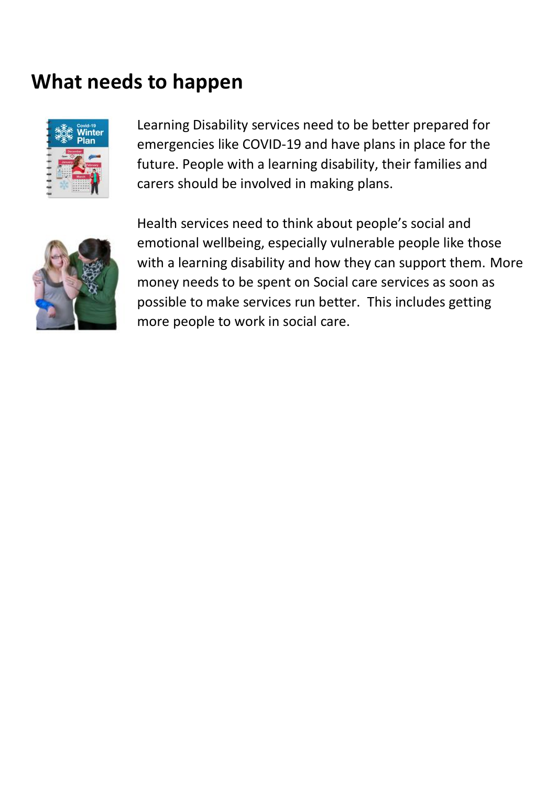## **What needs to happen**



 Learning Disability services need to be better prepared for emergencies like COVID-19 and have plans in place for the future. People with a learning disability, their families and carers should be involved in making plans.



 Health services need to think about people's social and emotional wellbeing, especially vulnerable people like those with a learning disability and how they can support them. More money needs to be spent on Social care services as soon as possible to make services run better. This includes getting more people to work in social care.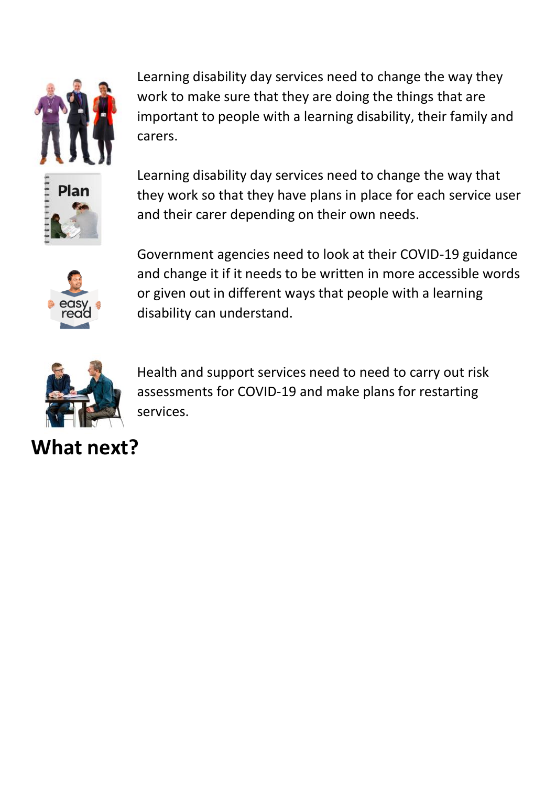

 Learning disability day services need to change the way they work to make sure that they are doing the things that are important to people with a learning disability, their family and carers.

 Learning disability day services need to change the way that they work so that they have plans in place for each service user and their carer depending on their own needs.



 Government agencies need to look at their COVID-19 guidance and change it if it needs to be written in more accessible words or given out in different ways that people with a learning disability can understand.



 Health and support services need to need to carry out risk assessments for COVID-19 and make plans for restarting services.

**What next?**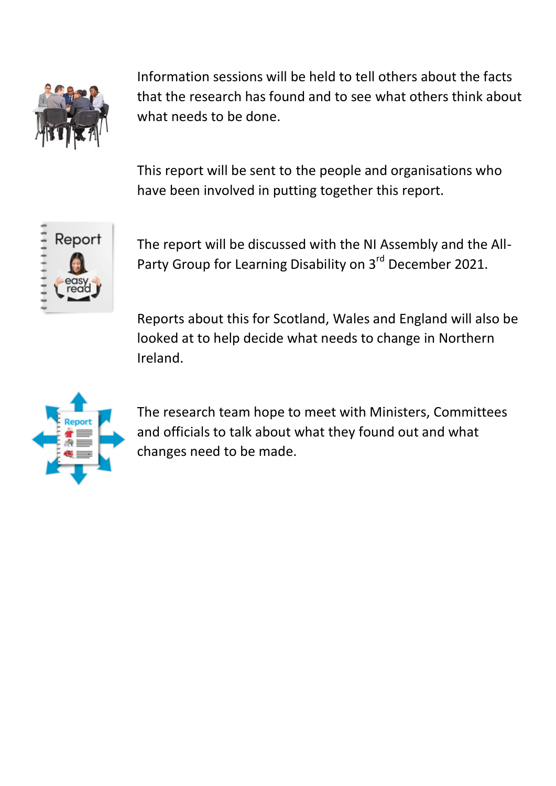

 Information sessions will be held to tell others about the facts that the research has found and to see what others think about what needs to be done.

 This report will be sent to the people and organisations who have been involved in putting together this report.



 The report will be discussed with the NI Assembly and the All-Party Group for Learning Disability on 3<sup>rd</sup> December 2021.

 Reports about this for Scotland, Wales and England will also be looked at to help decide what needs to change in Northern Ireland.



 The research team hope to meet with Ministers, Committees and officials to talk about what they found out and what changes need to be made.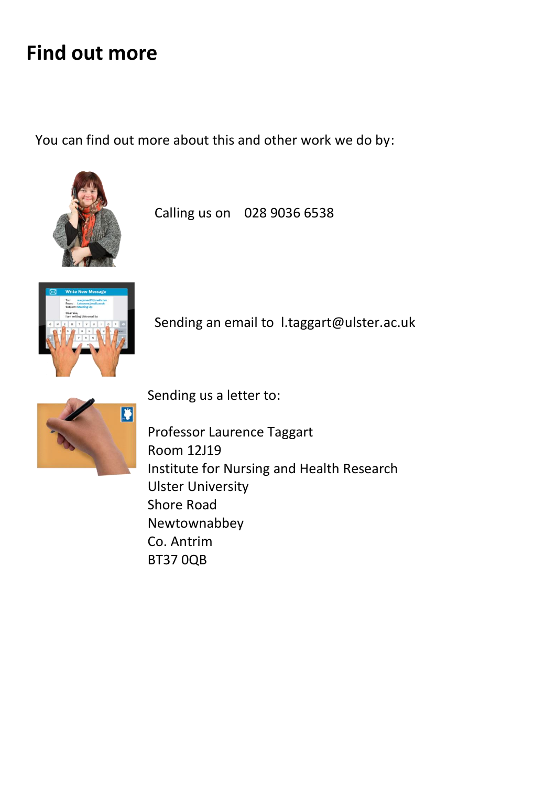## **Find out more**

You can find out more about this and other work we do by:



Calling us on 028 9036 6538



Sending an email to [l.taggart@ulster.ac.uk](mailto:l.taggart@ulster.ac.uk)



Sending us a letter to:

 Professor Laurence Taggart Institute for Nursing and Health Research Room 12J19 Ulster University Shore Road Newtownabbey Co. Antrim BT37 0QB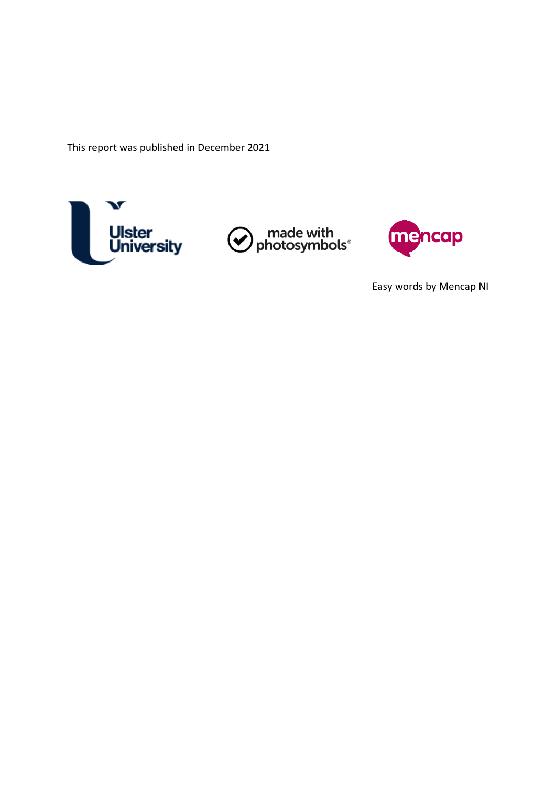This report was published in December 2021







Easy words by Mencap NI